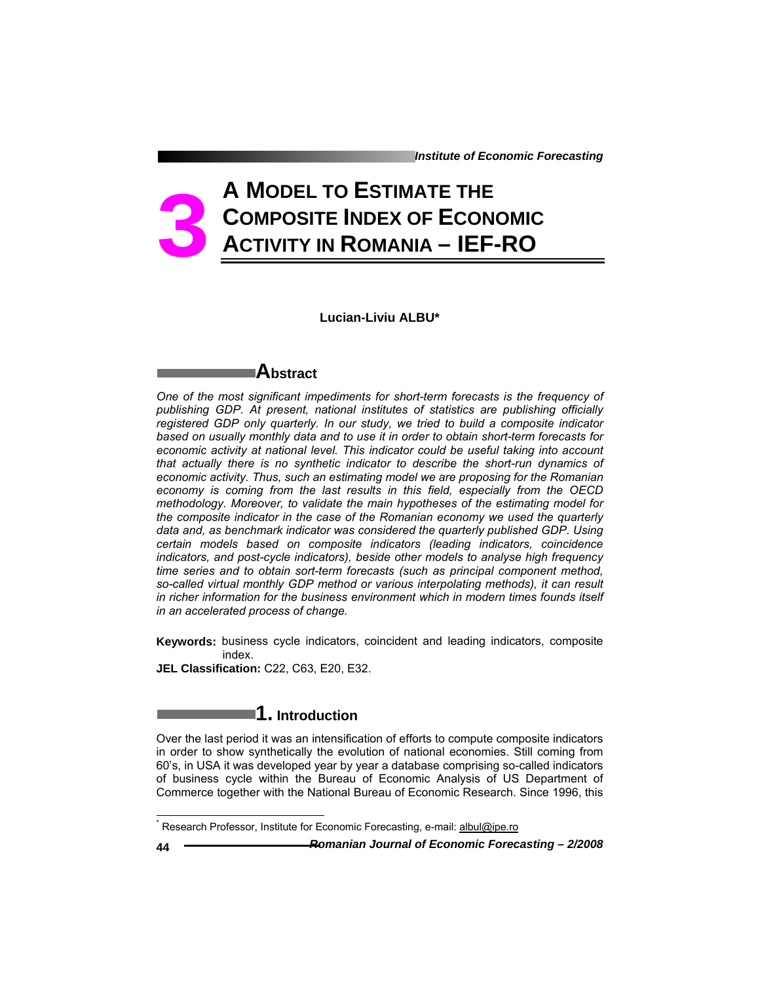*Institute of Economic Forecasting*

# **A MODEL TO ESTIMATE THE COMPOSITE INDEX OF ECONOMIC ACTIVITY IN ROMANIA – IEF-RO 3**

**Lucian-Liviu ALBU\*** 

### **Abstract**

*One of the most significant impediments for short-term forecasts is the frequency of publishing GDP. At present, national institutes of statistics are publishing officially registered GDP only quarterly. In our study, we tried to build a composite indicator based on usually monthly data and to use it in order to obtain short-term forecasts for economic activity at national level. This indicator could be useful taking into account that actually there is no synthetic indicator to describe the short-run dynamics of economic activity. Thus, such an estimating model we are proposing for the Romanian economy is coming from the last results in this field, especially from the OECD methodology. Moreover, to validate the main hypotheses of the estimating model for the composite indicator in the case of the Romanian economy we used the quarterly data and, as benchmark indicator was considered the quarterly published GDP. Using certain models based on composite indicators (leading indicators, coincidence indicators, and post-cycle indicators), beside other models to analyse high frequency time series and to obtain sort-term forecasts (such as principal component method, so-called virtual monthly GDP method or various interpolating methods), it can result in richer information for the business environment which in modern times founds itself in an accelerated process of change.* 

**Keywords:** business cycle indicators, coincident and leading indicators, composite index.

**JEL Classification:** C22, C63, E20, E32.

## **1. Introduction**

Over the last period it was an intensification of efforts to compute composite indicators in order to show synthetically the evolution of national economies. Still coming from 60's, in USA it was developed year by year a database comprising so-called indicators of business cycle within the Bureau of Economic Analysis of US Department of Commerce together with the National Bureau of Economic Research. Since 1996, this

**44** *Romanian Journal of Economic Forecasting – 2/2008* 

l

<sup>&</sup>lt;sup>\*</sup> Research Professor, Institute for Economic Forecasting, e-mail: albul@ipe.ro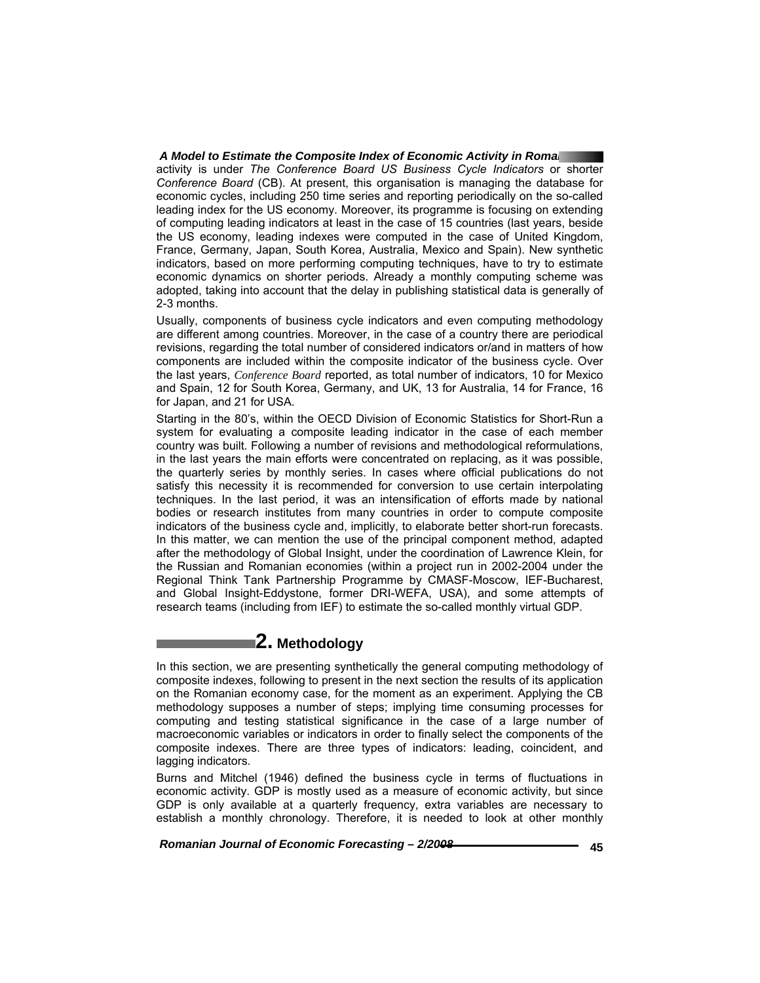#### *A Model to Estimate the Composite Index of Economic Activity in Romania*

activity is under *The Conference Board US Business Cycle Indicators* or shorter *Conference Board* (CB). At present, this organisation is managing the database for economic cycles, including 250 time series and reporting periodically on the so-called leading index for the US economy. Moreover, its programme is focusing on extending of computing leading indicators at least in the case of 15 countries (last years, beside the US economy, leading indexes were computed in the case of United Kingdom, France, Germany, Japan, South Korea, Australia, Mexico and Spain). New synthetic indicators, based on more performing computing techniques, have to try to estimate economic dynamics on shorter periods. Already a monthly computing scheme was adopted, taking into account that the delay in publishing statistical data is generally of 2-3 months.

Usually, components of business cycle indicators and even computing methodology are different among countries. Moreover, in the case of a country there are periodical revisions, regarding the total number of considered indicators or/and in matters of how components are included within the composite indicator of the business cycle. Over the last years, *Conference Board* reported, as total number of indicators, 10 for Mexico and Spain, 12 for South Korea, Germany, and UK, 13 for Australia, 14 for France, 16 for Japan, and 21 for USA.

Starting in the 80's, within the OECD Division of Economic Statistics for Short-Run a system for evaluating a composite leading indicator in the case of each member country was built. Following a number of revisions and methodological reformulations, in the last years the main efforts were concentrated on replacing, as it was possible, the quarterly series by monthly series. In cases where official publications do not satisfy this necessity it is recommended for conversion to use certain interpolating techniques. In the last period, it was an intensification of efforts made by national bodies or research institutes from many countries in order to compute composite indicators of the business cycle and, implicitly, to elaborate better short-run forecasts. In this matter, we can mention the use of the principal component method, adapted after the methodology of Global Insight, under the coordination of Lawrence Klein, for the Russian and Romanian economies (within a project run in 2002-2004 under the Regional Think Tank Partnership Programme by CMASF-Moscow, IEF-Bucharest, and Global Insight-Eddystone, former DRI-WEFA, USA), and some attempts of research teams (including from IEF) to estimate the so-called monthly virtual GDP.

### **2. Methodology**

In this section, we are presenting synthetically the general computing methodology of composite indexes, following to present in the next section the results of its application on the Romanian economy case, for the moment as an experiment. Applying the CB methodology supposes a number of steps; implying time consuming processes for computing and testing statistical significance in the case of a large number of macroeconomic variables or indicators in order to finally select the components of the composite indexes. There are three types of indicators: leading, coincident, and lagging indicators.

Burns and Mitchel (1946) defined the business cycle in terms of fluctuations in economic activity. GDP is mostly used as a measure of economic activity, but since GDP is only available at a quarterly frequency, extra variables are necessary to establish a monthly chronology. Therefore, it is needed to look at other monthly

 *Romanian Journal of Economic Forecasting – 2/2008* **45**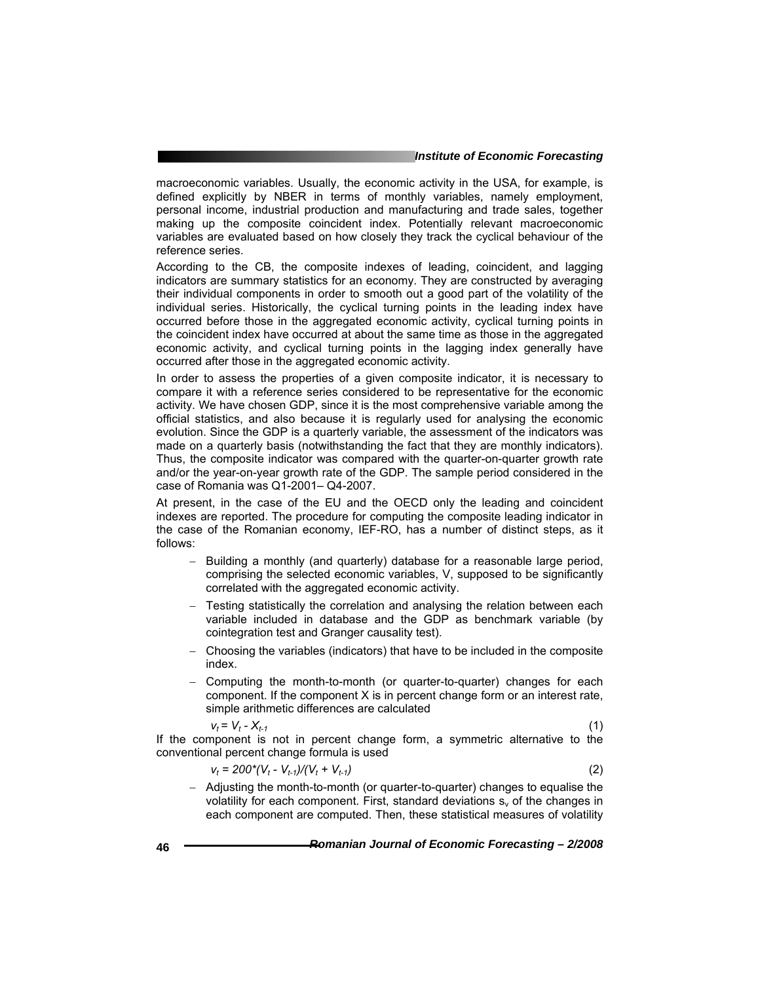#### *Institute of Economic Forecasting*

macroeconomic variables. Usually, the economic activity in the USA, for example, is defined explicitly by NBER in terms of monthly variables, namely employment, personal income, industrial production and manufacturing and trade sales, together making up the composite coincident index. Potentially relevant macroeconomic variables are evaluated based on how closely they track the cyclical behaviour of the reference series.

According to the CB, the composite indexes of leading, coincident, and lagging indicators are summary statistics for an economy. They are constructed by averaging their individual components in order to smooth out a good part of the volatility of the individual series. Historically, the cyclical turning points in the leading index have occurred before those in the aggregated economic activity, cyclical turning points in the coincident index have occurred at about the same time as those in the aggregated economic activity, and cyclical turning points in the lagging index generally have occurred after those in the aggregated economic activity.

In order to assess the properties of a given composite indicator, it is necessary to compare it with a reference series considered to be representative for the economic activity. We have chosen GDP, since it is the most comprehensive variable among the official statistics, and also because it is regularly used for analysing the economic evolution. Since the GDP is a quarterly variable, the assessment of the indicators was made on a quarterly basis (notwithstanding the fact that they are monthly indicators). Thus, the composite indicator was compared with the quarter-on-quarter growth rate and/or the year-on-year growth rate of the GDP. The sample period considered in the case of Romania was Q1-2001– Q4-2007.

At present, in the case of the EU and the OECD only the leading and coincident indexes are reported. The procedure for computing the composite leading indicator in the case of the Romanian economy, IEF-RO, has a number of distinct steps, as it follows:

- Building a monthly (and quarterly) database for a reasonable large period, comprising the selected economic variables, V, supposed to be significantly correlated with the aggregated economic activity.
- − Testing statistically the correlation and analysing the relation between each variable included in database and the GDP as benchmark variable (by cointegration test and Granger causality test).
- − Choosing the variables (indicators) that have to be included in the composite index.
- − Computing the month-to-month (or quarter-to-quarter) changes for each component. If the component X is in percent change form or an interest rate, simple arithmetic differences are calculated

$$
v_t = V_t - X_{t-1} \tag{1}
$$

If the component is not in percent change form, a symmetric alternative to the conventional percent change formula is used

$$
V_t = 200^*(V_t - V_{t-1})/(V_t + V_{t-1})
$$
\n(2)

− Adjusting the month-to-month (or quarter-to-quarter) changes to equalise the volatility for each component. First, standard deviations  $s<sub>v</sub>$  of the changes in each component are computed. Then, these statistical measures of volatility

**46** *Romanian Journal of Economic Forecasting – 2/2008*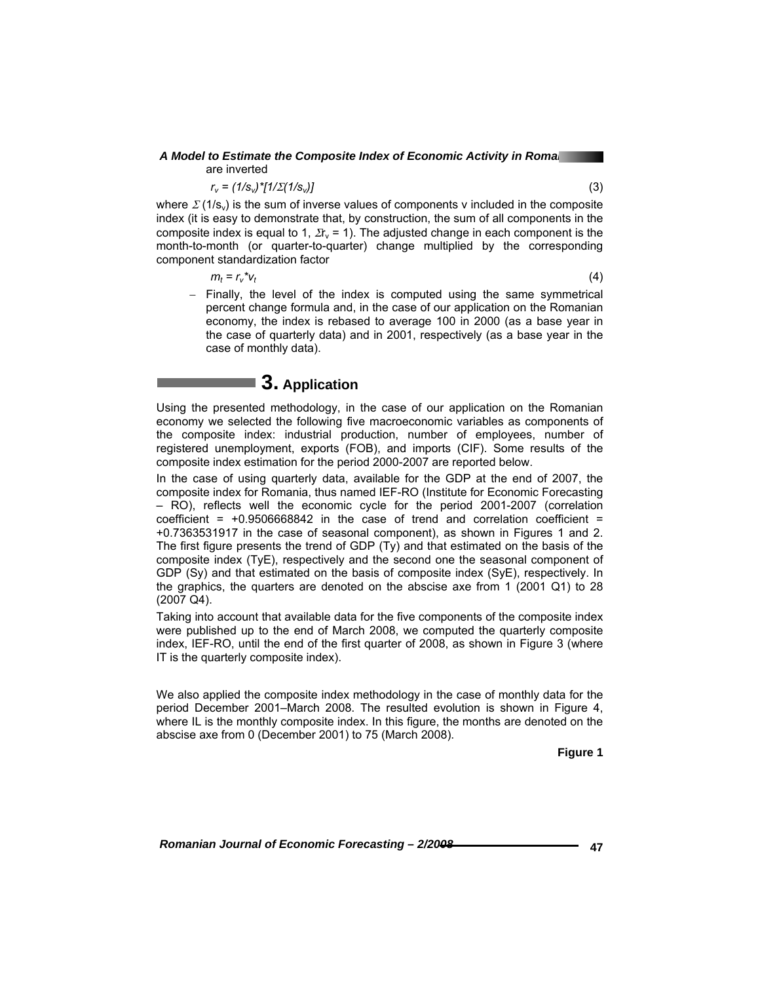#### *A Model to Estimate the Composite Index of Economic Activity in Romania*  are inverted

 $r_v = (1/s_v)^* [1/\Sigma (1/s_v)]$  (3)

where  $\Sigma(1/s_v)$  is the sum of inverse values of components v included in the composite index (it is easy to demonstrate that, by construction, the sum of all components in the composite index is equal to 1,  $\Sigma_{V}$  = 1). The adjusted change in each component is the month-to-month (or quarter-to-quarter) change multiplied by the corresponding component standardization factor

 $m_t = r_v^* v_t$  (4)

− Finally, the level of the index is computed using the same symmetrical percent change formula and, in the case of our application on the Romanian economy, the index is rebased to average 100 in 2000 (as a base year in the case of quarterly data) and in 2001, respectively (as a base year in the case of monthly data).

# ■ 3. Application

Using the presented methodology, in the case of our application on the Romanian economy we selected the following five macroeconomic variables as components of the composite index: industrial production, number of employees, number of registered unemployment, exports (FOB), and imports (CIF). Some results of the composite index estimation for the period 2000-2007 are reported below.

In the case of using quarterly data, available for the GDP at the end of 2007, the composite index for Romania, thus named IEF-RO (Institute for Economic Forecasting – RO), reflects well the economic cycle for the period 2001-2007 (correlation coefficient =  $+0.9506668842$  in the case of trend and correlation coefficient = +0.7363531917 in the case of seasonal component), as shown in Figures 1 and 2. The first figure presents the trend of GDP (Ty) and that estimated on the basis of the composite index (TyE), respectively and the second one the seasonal component of GDP (Sy) and that estimated on the basis of composite index (SyE), respectively. In the graphics, the quarters are denoted on the abscise axe from 1 (2001 Q1) to 28 (2007 Q4).

Taking into account that available data for the five components of the composite index were published up to the end of March 2008, we computed the quarterly composite index, IEF-RO, until the end of the first quarter of 2008, as shown in Figure 3 (where IT is the quarterly composite index).

We also applied the composite index methodology in the case of monthly data for the period December 2001–March 2008. The resulted evolution is shown in Figure 4, where IL is the monthly composite index. In this figure, the months are denoted on the abscise axe from 0 (December 2001) to 75 (March 2008).

**Figure 1** 

 *Romanian Journal of Economic Forecasting – 2/2008* **47**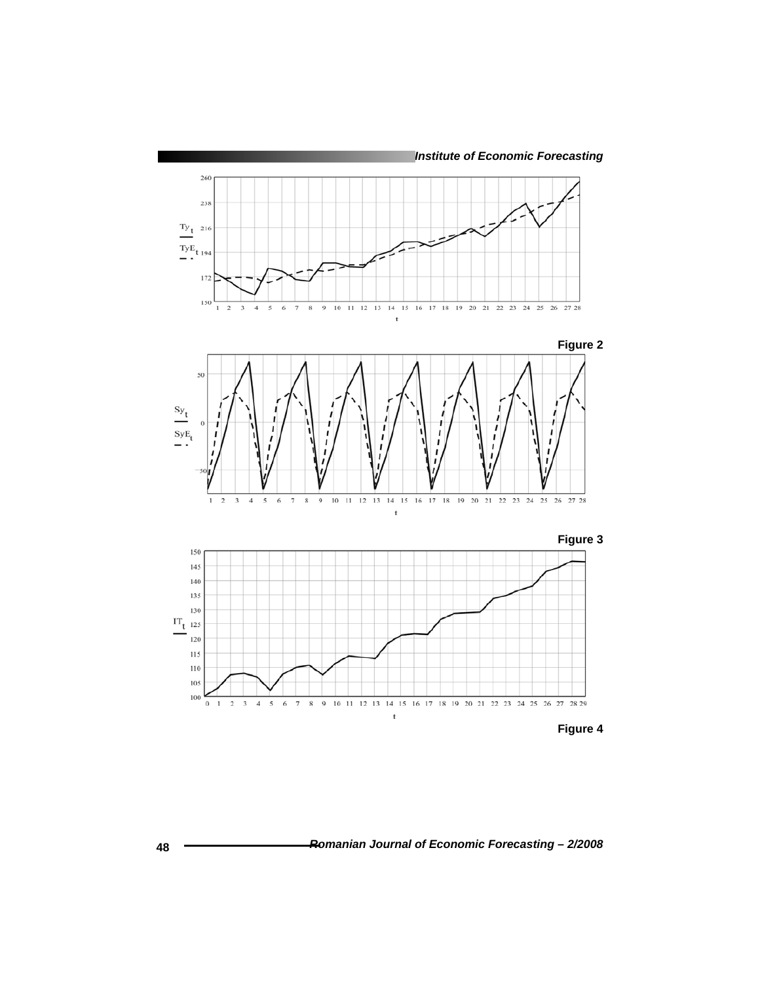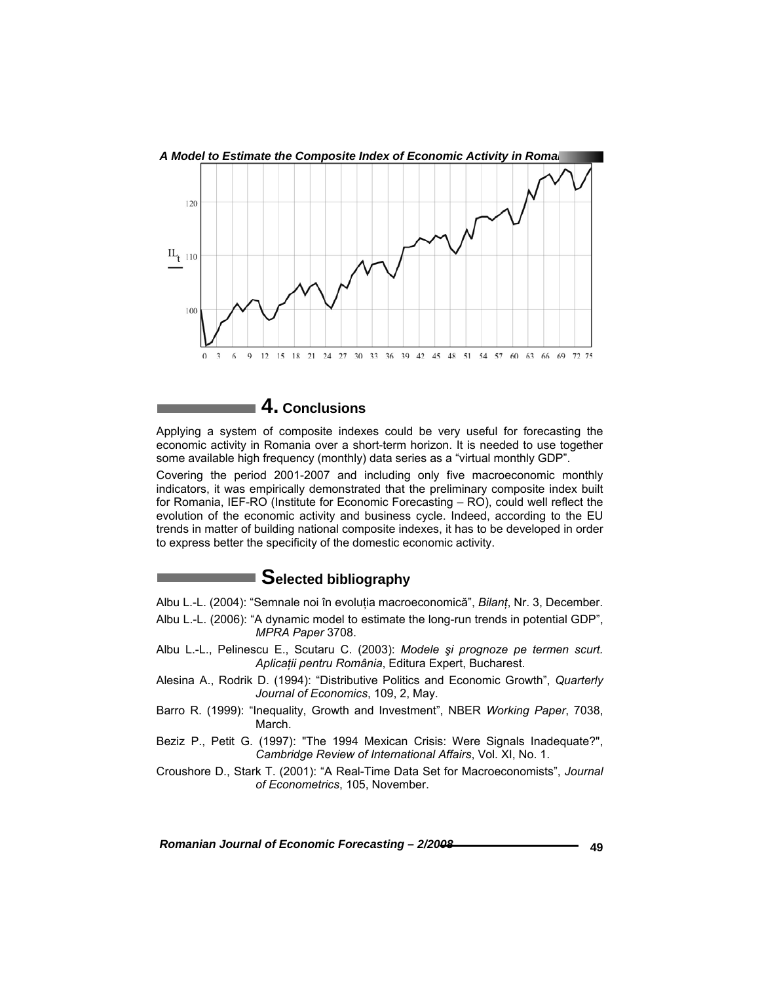

 **4. Conclusions** 

Applying a system of composite indexes could be very useful for forecasting the economic activity in Romania over a short-term horizon. It is needed to use together some available high frequency (monthly) data series as a "virtual monthly GDP".

Covering the period 2001-2007 and including only five macroeconomic monthly indicators, it was empirically demonstrated that the preliminary composite index built for Romania, IEF-RO (Institute for Economic Forecasting – RO), could well reflect the evolution of the economic activity and business cycle. Indeed, according to the EU trends in matter of building national composite indexes, it has to be developed in order to express better the specificity of the domestic economic activity.

### ■ Selected bibliography

- Albu L.-L. (2004): "Semnale noi în evoluţia macroeconomică", *Bilanţ*, Nr. 3, December.
- Albu L.-L. (2006): "A dynamic model to estimate the long-run trends in potential GDP", *MPRA Paper* 3708.
- Albu L.-L., Pelinescu E., Scutaru C. (2003): *Modele şi prognoze pe termen scurt. Aplicaţii pentru România*, Editura Expert, Bucharest.
- Alesina A., Rodrik D. (1994): "Distributive Politics and Economic Growth", *Quarterly Journal of Economics*, 109, 2, May.
- Barro R. (1999): "Inequality, Growth and Investment", NBER *Working Paper*, 7038, March.
- Beziz P., Petit G. (1997): "The 1994 Mexican Crisis: Were Signals Inadequate?", *Cambridge Review of International Affairs*, Vol. XI, No. 1.
- Croushore D., Stark T. (2001): "A Real-Time Data Set for Macroeconomists", *Journal of Econometrics*, 105, November.

 *Romanian Journal of Economic Forecasting – 2/2008* **49**